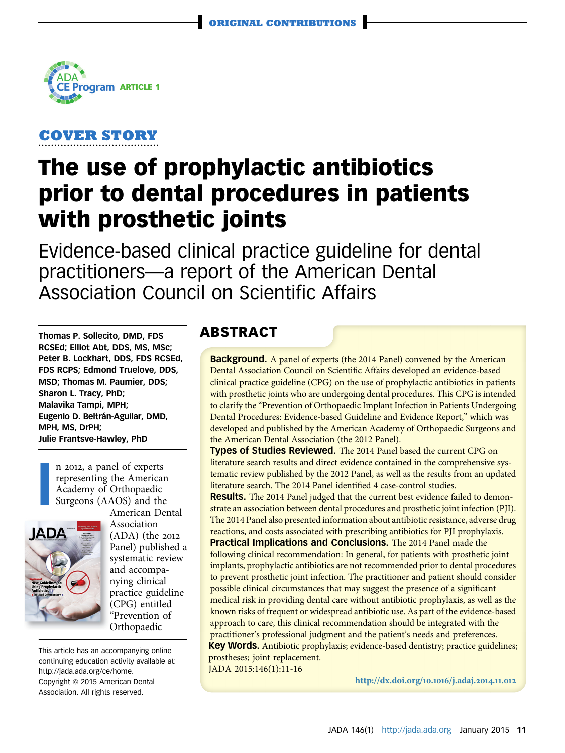

COVER STORY ....................................

# The use of prophylactic antibiotics prior to dental procedures in patients with prosthetic joints

Evidence-based clinical practice guideline for dental practitioners—a report of the American Dental Association Council on Scientific Affairs

Thomas P. Sollecito, DMD, FDS RCSEd; Elliot Abt, DDS, MS, MSc; Peter B. Lockhart, DDS, FDS RCSEd, FDS RCPS; Edmond Truelove, DDS, MSD; Thomas M. Paumier, DDS; Sharon L. Tracy, PhD; Malavika Tampi, MPH; Eugenio D. Beltrán-Aguilar, DMD, MPH, MS, DrPH; Julie Frantsve-Hawley, PhD

> n 2012, a panel of experts representing the American Academy of Orthopaedic Surgeons (AAOS) and the



American Dental Association (ADA) (the 2012 Panel) published a systematic review and accompanying clinical practice guideline (CPG) entitled "Prevention of Orthopaedic

This article has an accompanying online continuing education activity available at: http://jada.ada.org/ce/home. Copyright © 2015 American Dental Association. All rights reserved.

# ABSTRACT

Background. A panel of experts (the 2014 Panel) convened by the American Dental Association Council on Scientific Affairs developed an evidence-based clinical practice guideline (CPG) on the use of prophylactic antibiotics in patients with prosthetic joints who are undergoing dental procedures. This CPG is intended to clarify the "Prevention of Orthopaedic Implant Infection in Patients Undergoing Dental Procedures: Evidence-based Guideline and Evidence Report," which was developed and published by the American Academy of Orthopaedic Surgeons and the American Dental Association (the 2012 Panel).

Types of Studies Reviewed. The 2014 Panel based the current CPG on literature search results and direct evidence contained in the comprehensive systematic review published by the 2012 Panel, as well as the results from an updated literature search. The 2014 Panel identified 4 case-control studies.

Results. The 2014 Panel judged that the current best evidence failed to demonstrate an association between dental procedures and prosthetic joint infection (PJI). The 2014 Panel also presented information about antibiotic resistance, adverse drug reactions, and costs associated with prescribing antibiotics for PJI prophylaxis. Practical Implications and Conclusions. The 2014 Panel made the following clinical recommendation: In general, for patients with prosthetic joint implants, prophylactic antibiotics are not recommended prior to dental procedures to prevent prosthetic joint infection. The practitioner and patient should consider possible clinical circumstances that may suggest the presence of a significant medical risk in providing dental care without antibiotic prophylaxis, as well as the known risks of frequent or widespread antibiotic use. As part of the evidence-based approach to care, this clinical recommendation should be integrated with the practitioner's professional judgment and the patient's needs and preferences. Key Words. Antibiotic prophylaxis; evidence-based dentistry; practice guidelines;

prostheses; joint replacement. JADA 2015:146(1):11-16

[http://dx.doi.org/](http://dx.doi.org/10.1016/j.adaj.2014.11.012)10.1016/j.adaj.2014.11.012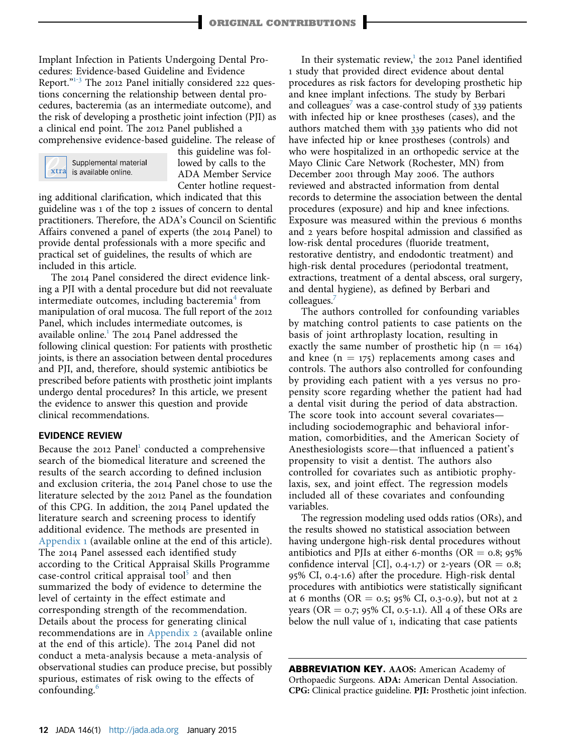Implant Infection in Patients Undergoing Dental Procedures: [E](#page-5-0)vidence-based Guideline and Evidence Report."<sup>1-3</sup> The 2012 Panel initially considered 222 questions concerning the relationship between dental procedures, bacteremia (as an intermediate outcome), and the risk of developing a prosthetic joint infection (PJI) as a clinical end point. The 2012 Panel published a comprehensive evidence-based guideline. The release of



this guideline was followed by calls to the ADA Member Service Center hotline request-

ing additional clarification, which indicated that this guideline was 1 of the top 2 issues of concern to dental practitioners. Therefore, the ADA's Council on Scientific Affairs convened a panel of experts (the 2014 Panel) to provide dental professionals with a more specific and practical set of guidelines, the results of which are included in this article.

The 2014 Panel considered the direct evidence linking a PJI with a dental procedure but did not reevaluate intermediate outcomes, including bacteremia<sup>[4](#page-5-0)</sup> from manipulation of oral mucosa. The full report of the 2012 Panel, which includes intermediate outcomes, is available online.<sup>[1](#page-5-0)</sup> The 2014 Panel addressed the following clinical question: For patients with prosthetic joints, is there an association between dental procedures and PJI, and, therefore, should systemic antibiotics be prescribed before patients with prosthetic joint implants undergo dental procedures? In this article, we present the evidence to answer this question and provide clinical recommendations.

## EVIDENCE REVIEW

Because the 20[1](#page-5-0)2 Panel<sup>1</sup> conducted a comprehensive search of the biomedical literature and screened the results of the search according to defined inclusion and exclusion criteria, the 2014 Panel chose to use the literature selected by the 2012 Panel as the foundation of this CPG. In addition, the 2014 Panel updated the literature search and screening process to identify additional evidence. The methods are presented in [Appendix](#page-6-0) 1 (available online at the end of this article). The 2014 Panel assessed each identified study according to the Critical Appraisal Skills Programme case-control critical appraisal tool<sup>[5](#page-5-0)</sup> and then summarized the body of evidence to determine the level of certainty in the effect estimate and corresponding strength of the recommendation. Details about the process for generating clinical recommendations are in [Appendix](#page-6-0) 2 (available online at the end of this article). The 2014 Panel did not conduct a meta-analysis because a meta-analysis of observational studies can produce precise, but possibly spurious, estimates of risk owing to the effects of confounding.<sup>[6](#page-5-0)</sup>

In their systematic review,<sup>[1](#page-5-0)</sup> the 2012 Panel identified 1 study that provided direct evidence about dental procedures as risk factors for developing prosthetic hip and knee implant infections. The study by Berbari and colleagues<sup>[7](#page-5-0)</sup> was a case-control study of  $339$  patients with infected hip or knee prostheses (cases), and the authors matched them with 339 patients who did not have infected hip or knee prostheses (controls) and who were hospitalized in an orthopedic service at the Mayo Clinic Care Network (Rochester, MN) from December 2001 through May 2006. The authors reviewed and abstracted information from dental records to determine the association between the dental procedures (exposure) and hip and knee infections. Exposure was measured within the previous 6 months and 2 years before hospital admission and classified as low-risk dental procedures (fluoride treatment, restorative dentistry, and endodontic treatment) and high-risk dental procedures (periodontal treatment, extractions, treatment of a dental abscess, oral surgery, and dental hygiene), as defined by Berbari and colleagues.

The authors controlled for confounding variables by matching control patients to case patients on the basis of joint arthroplasty location, resulting in exactly the same number of prosthetic hip  $(n = 164)$ and knee ( $n = 175$ ) replacements among cases and controls. The authors also controlled for confounding by providing each patient with a yes versus no propensity score regarding whether the patient had had a dental visit during the period of data abstraction. The score took into account several covariates including sociodemographic and behavioral information, comorbidities, and the American Society of Anesthesiologists score—that influenced a patient's propensity to visit a dentist. The authors also controlled for covariates such as antibiotic prophylaxis, sex, and joint effect. The regression models included all of these covariates and confounding variables.

The regression modeling used odds ratios (ORs), and the results showed no statistical association between having undergone high-risk dental procedures without antibiotics and PJIs at either 6-months (OR  $=$  0.8; 95% confidence interval [CI],  $0.4-1.7$  or 2-years (OR  $= 0.8$ ; 95% CI, 0.4-1.6) after the procedure. High-risk dental procedures with antibiotics were statistically significant at 6 months (OR = 0.5; 95% CI, 0.3-0.9), but not at 2 years (OR = 0.7; 95% CI, 0.5-1.1). All 4 of these ORs are below the null value of 1, indicating that case patients

ABBREVIATION KEY. AAOS: American Academy of Orthopaedic Surgeons. ADA: American Dental Association. CPG: Clinical practice guideline. PJI: Prosthetic joint infection.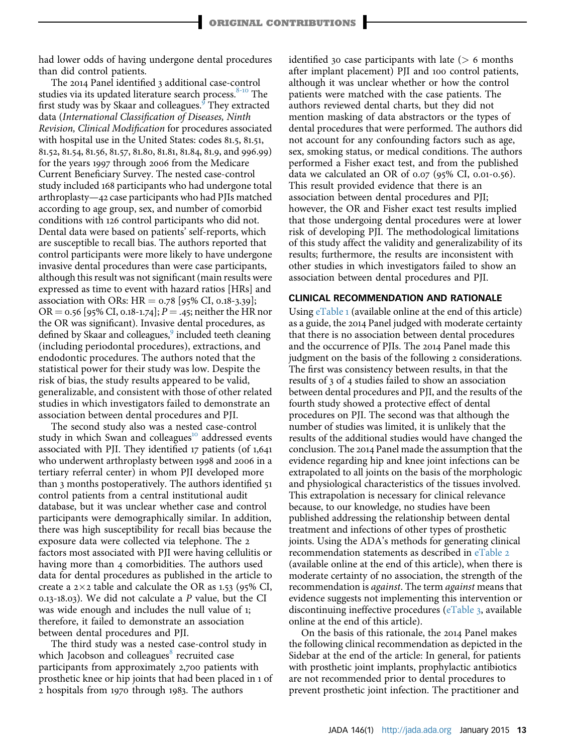had lower odds of having undergone dental procedures than did control patients.

The 2014 Panel identified 3 additional case-c[ontr](#page-5-0)ol studies via its updated literature search process. $8-10$  The first study was by Skaar and colleagues.<sup>[9](#page-5-0)</sup> They extracted data (International Classification of Diseases, Ninth Revision, Clinical Modification for procedures associated with hospital use in the United States: codes 81.5, 81.51, 81.52, 81.54, 81.56, 81.57, 81.80, 81.81, 81.84, 81.9, and 996.99) for the years 1997 through 2006 from the Medicare Current Beneficiary Survey. The nested case-control study included 168 participants who had undergone total arthroplasty—42 case participants who had PJIs matched according to age group, sex, and number of comorbid conditions with 126 control participants who did not. Dental data were based on patients' self-reports, which are susceptible to recall bias. The authors reported that control participants were more likely to have undergone invasive dental procedures than were case participants, although this result was not significant (main results were expressed as time to event with hazard ratios [HRs] and association with ORs:  $HR = 0.78$  [95% CI, 0.18-3.39]; OR = 0.56 [95% CI, 0.18-1.74]; P = .45; neither the HR nor the OR was significant). Invasive dental procedures, as defined by Skaar and colleagues,<sup>[9](#page-5-0)</sup> included teeth cleaning (including periodontal procedures), extractions, and endodontic procedures. The authors noted that the statistical power for their study was low. Despite the risk of bias, the study results appeared to be valid, generalizable, and consistent with those of other related studies in which investigators failed to demonstrate an association between dental procedures and PJI.

The second study also was a nested case-control study in which Swan and colleagues<sup>[10](#page-5-0)</sup> addressed events associated with PJI. They identified 17 patients (of 1,641 who underwent arthroplasty between 1998 and 2006 in a tertiary referral center) in whom PJI developed more than 3 months postoperatively. The authors identified 51 control patients from a central institutional audit database, but it was unclear whether case and control participants were demographically similar. In addition, there was high susceptibility for recall bias because the exposure data were collected via telephone. The 2 factors most associated with PJI were having cellulitis or having more than 4 comorbidities. The authors used data for dental procedures as published in the article to create a  $2\times2$  table and calculate the OR as 1.53 (95% CI, 0.13-18.03). We did not calculate a P value, but the CI was wide enough and includes the null value of 1; therefore, it failed to demonstrate an association between dental procedures and PJI.

The third study was a nested case-control study in which Jacobson and colleagues $\delta$  recruited case participants from approximately 2,700 patients with prosthetic knee or hip joints that had been placed in 1 of 2 hospitals from 1970 through 1983. The authors

identified 30 case participants with late  $(> 6$  months after implant placement) PJI and 100 control patients, although it was unclear whether or how the control patients were matched with the case patients. The authors reviewed dental charts, but they did not mention masking of data abstractors or the types of dental procedures that were performed. The authors did not account for any confounding factors such as age, sex, smoking status, or medical conditions. The authors performed a Fisher exact test, and from the published data we calculated an OR of 0.07 (95% CI, 0.01-0.56). This result provided evidence that there is an association between dental procedures and PJI; however, the OR and Fisher exact test results implied that those undergoing dental procedures were at lower risk of developing PJI. The methodological limitations of this study affect the validity and generalizability of its results; furthermore, the results are inconsistent with other studies in which investigators failed to show an association between dental procedures and PJI.

#### CLINICAL RECOMMENDATION AND RATIONALE

Using [eTable](#page-6-0) 1 (available online at the end of this article) as a guide, the 2014 Panel judged with moderate certainty that there is no association between dental procedures and the occurrence of PJIs. The 2014 Panel made this judgment on the basis of the following 2 considerations. The first was consistency between results, in that the results of 3 of 4 studies failed to show an association between dental procedures and PJI, and the results of the fourth study showed a protective effect of dental procedures on PJI. The second was that although the number of studies was limited, it is unlikely that the results of the additional studies would have changed the conclusion. The 2014 Panel made the assumption that the evidence regarding hip and knee joint infections can be extrapolated to all joints on the basis of the morphologic and physiological characteristics of the tissues involved. This extrapolation is necessary for clinical relevance because, to our knowledge, no studies have been published addressing the relationship between dental treatment and infections of other types of prosthetic joints. Using the ADA's methods for generating clinical recommendation statements as described in [eTable](#page-6-0) 2 (available online at the end of this article), when there is moderate certainty of no association, the strength of the recommendation is *against*. The term *against* means that evidence suggests not implementing this intervention or discontinuing ineffective procedures ([eTable](#page-6-0) 3, available online at the end of this article).

On the basis of this rationale, the 2014 Panel makes the following clinical recommendation as depicted in the Sidebar at the end of the article: In general, for patients with prosthetic joint implants, prophylactic antibiotics are not recommended prior to dental procedures to prevent prosthetic joint infection. The practitioner and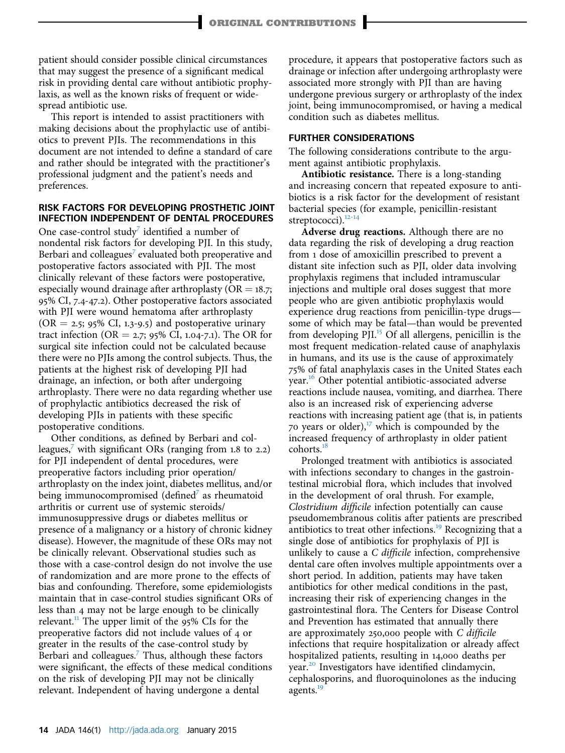patient should consider possible clinical circumstances that may suggest the presence of a significant medical risk in providing dental care without antibiotic prophylaxis, as well as the known risks of frequent or widespread antibiotic use.

This report is intended to assist practitioners with making decisions about the prophylactic use of antibiotics to prevent PJIs. The recommendations in this document are not intended to define a standard of care and rather should be integrated with the practitioner's professional judgment and the patient's needs and preferences.

### RISK FACTORS FOR DEVELOPING PROSTHETIC JOINT INFECTION INDEPENDENT OF DENTAL PROCEDURES

One case-control study<sup>[7](#page-5-0)</sup> identified a number of nondental risk factors for developing PJI. In this study, Berbari and colleagues $\bar{z}$  evaluated both preoperative and postoperative factors associated with PJI. The most clinically relevant of these factors were postoperative, especially wound drainage after arthroplasty ( $OR = 18.7$ ; 95% CI, 7.4-47.2). Other postoperative factors associated with PJI were wound hematoma after arthroplasty  $(OR = 2.5; 95\% \text{ CI}, 1.3-9.5)$  and postoperative urinary tract infection (OR = 2.7; 95% CI, 1.04-7.1). The OR for surgical site infection could not be calculated because there were no PJIs among the control subjects. Thus, the patients at the highest risk of developing PJI had drainage, an infection, or both after undergoing arthroplasty. There were no data regarding whether use of prophylactic antibiotics decreased the risk of developing PJIs in patients with these specific postoperative conditions.

Other conditions, as defined by Berbari and colleagues, $\frac{7}{7}$  $\frac{7}{7}$  $\frac{7}{7}$  with significant ORs (ranging from 1.8 to 2.2) for PJI independent of dental procedures, were preoperative factors including prior operation/ arthroplasty on the index joint, diabetes mellitus, and/or being immunocompromised (defined<sup> $7$ </sup> as rheumatoid arthritis or current use of systemic steroids/ immunosuppressive drugs or diabetes mellitus or presence of a malignancy or a history of chronic kidney disease). However, the magnitude of these ORs may not be clinically relevant. Observational studies such as those with a case-control design do not involve the use of randomization and are more prone to the effects of bias and confounding. Therefore, some epidemiologists maintain that in case-control studies significant ORs of less than 4 may not be large enough to be clinically relevant.<sup>[11](#page-5-0)</sup> The upper limit of the  $95\%$  CIs for the preoperative factors did not include values of 4 or greater in the results of the case-control study by Berbari and colleagues.<sup>[7](#page-5-0)</sup> Thus, although these factors were significant, the effects of these medical conditions on the risk of developing PJI may not be clinically relevant. Independent of having undergone a dental

procedure, it appears that postoperative factors such as drainage or infection after undergoing arthroplasty were associated more strongly with PJI than are having undergone previous surgery or arthroplasty of the index joint, being immunocompromised, or having a medical condition such as diabetes mellitus.

### FURTHER CONSIDERATIONS

The following considerations contribute to the argument against antibiotic prophylaxis.

Antibiotic resistance. There is a long-standing and increasing concern that repeated exposure to antibiotics is a risk factor for the development of resistant bacterial spe[cies](#page-5-0) (for example, penicillin-resistant streptococci).<sup>12-14</sup>

Adverse drug reactions. Although there are no data regarding the risk of developing a drug reaction from 1 dose of amoxicillin prescribed to prevent a distant site infection such as PJI, older data involving prophylaxis regimens that included intramuscular injections and multiple oral doses suggest that more people who are given antibiotic prophylaxis would experience drug reactions from penicillin-type drugs some of which may be fatal—than would be prevented from developing PJI. $^{15}$  $^{15}$  $^{15}$  Of all allergens, penicillin is the most frequent medication-related cause of anaphylaxis in humans, and its use is the cause of approximately 75% of fatal anaphylaxis cases in the United States each year.<sup>[16](#page-5-0)</sup> Other potential antibiotic-associated adverse reactions include nausea, vomiting, and diarrhea. There also is an increased risk of experiencing adverse reactions with increasing patient age (that is, in patients 70 years or older), $^{17}$  $^{17}$  $^{17}$  which is compounded by the increased frequency of arthroplasty in older patient cohorts.<sup>[18](#page-5-0)</sup>

Prolonged treatment with antibiotics is associated with infections secondary to changes in the gastrointestinal microbial flora, which includes that involved in the development of oral thrush. For example, Clostridium difficile infection potentially can cause pseudomembranous colitis after patients are prescribed antibiotics to treat other infections.<sup>[19](#page-5-0)</sup> Recognizing that a single dose of antibiotics for prophylaxis of PJI is unlikely to cause a *C difficile* infection, comprehensive dental care often involves multiple appointments over a short period. In addition, patients may have taken antibiotics for other medical conditions in the past, increasing their risk of experiencing changes in the gastrointestinal flora. The Centers for Disease Control and Prevention has estimated that annually there are approximately 250,000 people with C difficile infections that require hospitalization or already affect hospitalized patients, resulting in 14,000 deaths per year.[20](#page-5-0) Investigators have identified clindamycin, cephalosporins, and fluoroquinolones as the inducing agents. $19$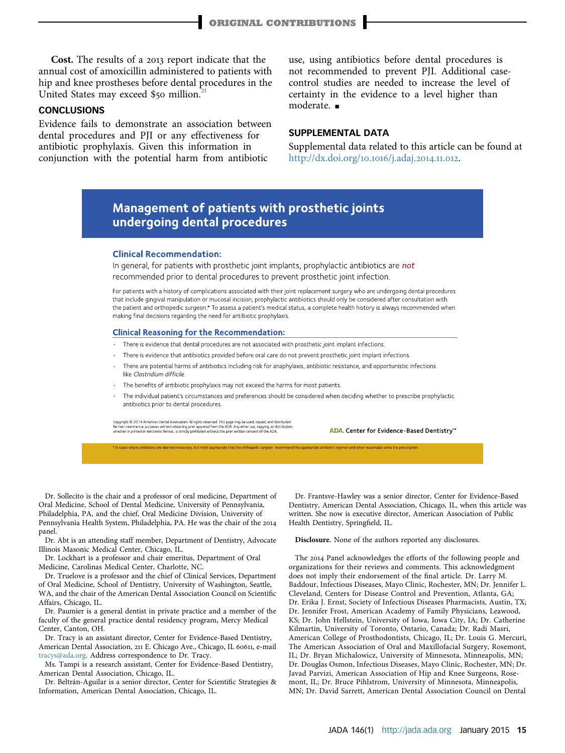Cost. The results of a 2013 report indicate that the annual cost of amoxicillin administered to patients with hip and knee prostheses before dental procedures in the United States may exceed \$50 million.<sup>2</sup>

#### **CONCLUSIONS**

Evidence fails to demonstrate an association between dental procedures and PJI or any effectiveness for antibiotic prophylaxis. Given this information in conjunction with the potential harm from antibiotic

use, using antibiotics before dental procedures is not recommended to prevent PJI. Additional casecontrol studies are needed to increase the level of certainty in the evidence to a level higher than moderate.  $\blacksquare$ 

#### SUPPLEMENTAL DATA

Supplemental data related to this article can be found at [http://dx.doi.org/](http://dx.doi.org/10.1016/j.adaj.2014.11.012)10.1016/j.adaj.2014.11.012.

# Management of patients with prosthetic joints undergoing dental procedures

#### **Clinical Recommendation:**

In general, for patients with prosthetic joint implants, prophylactic antibiotics are not recommended prior to dental procedures to prevent prosthetic joint infection.

For patients with a history of complications associated with their joint replacement surgery who are undergoing dental procedures that include gingival manipulation or mucosal incision, prophylactic antibiotics should only be considered after consultation with the patient and orthopedic surgeon.\* To assess a patient's medical status, a complete health history is always recommended when making final decisions regarding the need for antibiotic prophylaxis.

#### **Clinical Reasoning for the Recommendation:**

- There is evidence that dental procedures are not associated with prosthetic joint implant infections.
- There is evidence that antibiotics provided before oral care do not prevent prosthetic joint implant infections.
- There are potential harms of antibiotics including risk for anaphylaxis, antibiotic resistance, and opportunistic infections like Clostridium difficile
- The benefits of antibiotic prophylaxis may not exceed the harms for most patients.
- The individual patient's circumstances and preferences should be considered when deciding whether to prescribe prophylactic antibiotics prior to dental procedures.

Copyright © 2014 American Dental Association. All rights reserved. This page may be used, copied, and distribute<br>for non-commercial purposes without dotaining prior approval from the ADA. Any other use, copying, or distrib

ADA. Center for Evidence-Based Dentistry"

Dr. Sollecito is the chair and a professor of oral medicine, Department of Oral Medicine, School of Dental Medicine, University of Pennsylvania, Philadelphia, PA, and the chief, Oral Medicine Division, University of Pennsylvania Health System, Philadelphia, PA. He was the chair of the 2014 panel.

Dr. Abt is an attending staff member, Department of Dentistry, Advocate Illinois Masonic Medical Center, Chicago, IL.

Dr. Lockhart is a professor and chair emeritus, Department of Oral Medicine, Carolinas Medical Center, Charlotte, NC.

Dr. Truelove is a professor and the chief of Clinical Services, Department of Oral Medicine, School of Dentistry, University of Washington, Seattle, WA, and the chair of the American Dental Association Council on Scientific Affairs, Chicago, IL.

Dr. Paumier is a general dentist in private practice and a member of the faculty of the general practice dental residency program, Mercy Medical Center, Canton, OH.

Dr. Tracy is an assistant director, Center for Evidence-Based Dentistry, American Dental Association, 211 E. Chicago Ave., Chicago, IL 60611, e-mail [tracys@ada.org.](mailto:tracys@ada.org) Address correspondence to Dr. Tracy.

Ms. Tampi is a research assistant, Center for Evidence-Based Dentistry, American Dental Association, Chicago, IL.

Dr. Beltrán-Aguilar is a senior director, Center for Scientific Strategies & Information, American Dental Association, Chicago, IL.

Dr. Frantsve-Hawley was a senior director, Center for Evidence-Based Dentistry, American Dental Association, Chicago, IL, when this article was written. She now is executive director, American Association of Public Health Dentistry, Springfield, IL.

Disclosure. None of the authors reported any disclosures.

The 2014 Panel acknowledges the efforts of the following people and organizations for their reviews and comments. This acknowledgment does not imply their endorsement of the final article. Dr. Larry M. Baddour, Infectious Diseases, Mayo Clinic, Rochester, MN; Dr. Jennifer L. Cleveland, Centers for Disease Control and Prevention, Atlanta, GA; Dr. Erika J. Ernst, Society of Infectious Diseases Pharmacists, Austin, TX; Dr. Jennifer Frost, American Academy of Family Physicians, Leawood, KS; Dr. John Hellstein, University of Iowa, Iowa City, IA; Dr. Catherine Kilmartin, University of Toronto, Ontario, Canada; Dr. Radi Masri, American College of Prosthodontists, Chicago, IL; Dr. Louis G. Mercuri, The American Association of Oral and Maxillofacial Surgery, Rosemont, IL; Dr. Bryan Michalowicz, University of Minnesota, Minneapolis, MN; Dr. Douglas Osmon, Infectious Diseases, Mayo Clinic, Rochester, MN; Dr. Javad Parvizi, American Association of Hip and Knee Surgeons, Rosemont, IL; Dr. Bruce Pihlstrom, University of Minnesota, Minneapolis, MN; Dr. David Sarrett, American Dental Association Council on Dental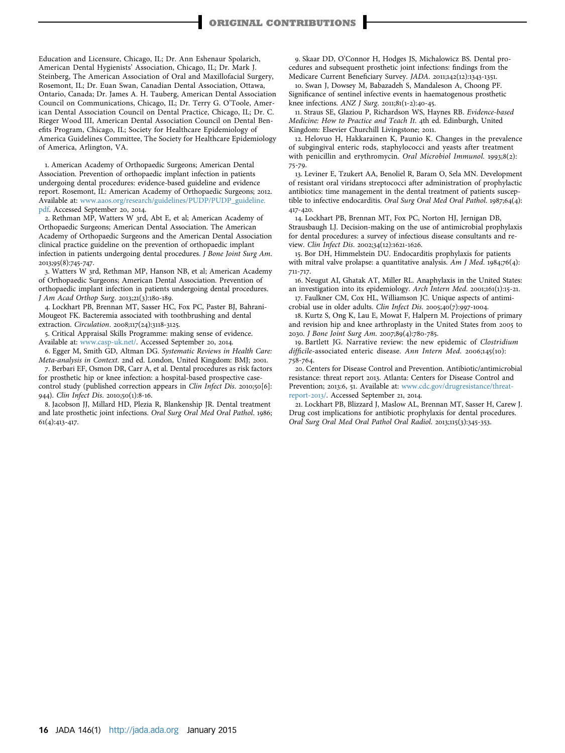<span id="page-5-0"></span>Education and Licensure, Chicago, IL; Dr. Ann Eshenaur Spolarich, American Dental Hygienists' Association, Chicago, IL; Dr. Mark J. Steinberg, The American Association of Oral and Maxillofacial Surgery, Rosemont, IL; Dr. Euan Swan, Canadian Dental Association, Ottawa, Ontario, Canada; Dr. James A. H. Tauberg, American Dental Association Council on Communications, Chicago, IL; Dr. Terry G. O'Toole, American Dental Association Council on Dental Practice, Chicago, IL; Dr. C. Rieger Wood III, American Dental Association Council on Dental Benefits Program, Chicago, IL; Society for Healthcare Epidemiology of America Guidelines Committee, The Society for Healthcare Epidemiology of America, Arlington, VA.

1. American Academy of Orthopaedic Surgeons; American Dental Association. Prevention of orthopaedic implant infection in patients undergoing dental procedures: evidence-based guideline and evidence report. Rosemont, IL: American Academy of Orthopaedic Surgeons; 2012. Available at: [www.aaos.org/research/guidelines/PUDP/PUDP\\_guideline.](http://www.aaos.org/research/guidelines/PUDP/PUDP_guideline.pdf) [pdf.](http://www.aaos.org/research/guidelines/PUDP/PUDP_guideline.pdf) Accessed September 20, 2014.

2. Rethman MP, Watters W 3rd, Abt E, et al; American Academy of Orthopaedic Surgeons; American Dental Association. The American Academy of Orthopaedic Surgeons and the American Dental Association clinical practice guideline on the prevention of orthopaedic implant infection in patients undergoing dental procedures. J Bone Joint Surg Am. 2013;95(8):745-747.

3. Watters W 3rd, Rethman MP, Hanson NB, et al; American Academy of Orthopaedic Surgeons; American Dental Association. Prevention of orthopaedic implant infection in patients undergoing dental procedures. J Am Acad Orthop Surg. 2013;21(3):180-189.

4. Lockhart PB, Brennan MT, Sasser HC, Fox PC, Paster BJ, Bahrani-Mougeot FK. Bacteremia associated with toothbrushing and dental extraction. Circulation. 2008;117(24):3118-3125.

5. Critical Appraisal Skills Programme: making sense of evidence. Available at: [www.casp-uk.net/](http://www.casp-uk.net/). Accessed September 20, 2014.

6. Egger M, Smith GD, Altman DG. Systematic Reviews in Health Care: Meta-analysis in Context. 2nd ed. London, United Kingdom: BMJ; 2001.

7. Berbari EF, Osmon DR, Carr A, et al. Dental procedures as risk factors for prosthetic hip or knee infection: a hospital-based prospective casecontrol study (published correction appears in Clin Infect Dis. 2010;50[6]: 944). Clin Infect Dis. 2010;50(1):8-16.

8. Jacobson JJ, Millard HD, Plezia R, Blankenship JR. Dental treatment and late prosthetic joint infections. Oral Surg Oral Med Oral Pathol. 1986; 61(4):413-417.

9. Skaar DD, O'Connor H, Hodges JS, Michalowicz BS. Dental procedures and subsequent prosthetic joint infections: findings from the Medicare Current Beneficiary Survey. JADA. 2011;142(12):1343-1351.

10. Swan J, Dowsey M, Babazadeh S, Mandaleson A, Choong PF. Significance of sentinel infective events in haematogenous prosthetic knee infections. ANZ J Surg. 2011;81(1-2):40-45.

11. Straus SE, Glaziou P, Richardson WS, Haynes RB. Evidence-based Medicine: How to Practice and Teach It. 4th ed. Edinburgh, United Kingdom: Elsevier Churchill Livingstone; 2011.

12. Helovuo H, Hakkarainen K, Paunio K. Changes in the prevalence of subgingival enteric rods, staphylococci and yeasts after treatment with penicillin and erythromycin. Oral Microbiol Immunol. 1993;8(2): 75-79.

13. Leviner E, Tzukert AA, Benoliel R, Baram O, Sela MN. Development of resistant oral viridans streptococci after administration of prophylactic antibiotics: time management in the dental treatment of patients susceptible to infective endocarditis. Oral Surg Oral Med Oral Pathol. 1987;64(4): 417-420.

14. Lockhart PB, Brennan MT, Fox PC, Norton HJ, Jernigan DB, Strausbaugh LJ. Decision-making on the use of antimicrobial prophylaxis for dental procedures: a survey of infectious disease consultants and review. Clin Infect Dis. 2002;34(12):1621-1626.

15. Bor DH, Himmelstein DU. Endocarditis prophylaxis for patients with mitral valve prolapse: a quantitative analysis. Am J Med. 1984;76(4): 711-717.

16. Neugut AI, Ghatak AT, Miller RL. Anaphylaxis in the United States: an investigation into its epidemiology. Arch Intern Med. 2001;161(1):15-21. 17. Faulkner CM, Cox HL, Williamson JC. Unique aspects of antimi-

crobial use in older adults. Clin Infect Dis. 2005;40(7):997-1004.

18. Kurtz S, Ong K, Lau E, Mowat F, Halpern M. Projections of primary and revision hip and knee arthroplasty in the United States from 2005 to 2030. J Bone Joint Surg Am. 2007;89(4):780-785.

19. Bartlett JG. Narrative review: the new epidemic of Clostridium difficile-associated enteric disease. Ann Intern Med. 2006;145(10): 758-764.

20. Centers for Disease Control and Prevention. Antibiotic/antimicrobial resistance: threat report 2013. Atlanta: Centers for Disease Control and Prevention; 2013:6, 51. Available at: [www.cdc.gov/drugresistance/threat](http://www.cdc.gov/drugresistance/threat-report-2013/)[report-](http://www.cdc.gov/drugresistance/threat-report-2013/)2013/. Accessed September 21, 2014.

21. Lockhart PB, Blizzard J, Maslow AL, Brennan MT, Sasser H, Carew J. Drug cost implications for antibiotic prophylaxis for dental procedures. Oral Surg Oral Med Oral Pathol Oral Radiol. 2013;115(3):345-353.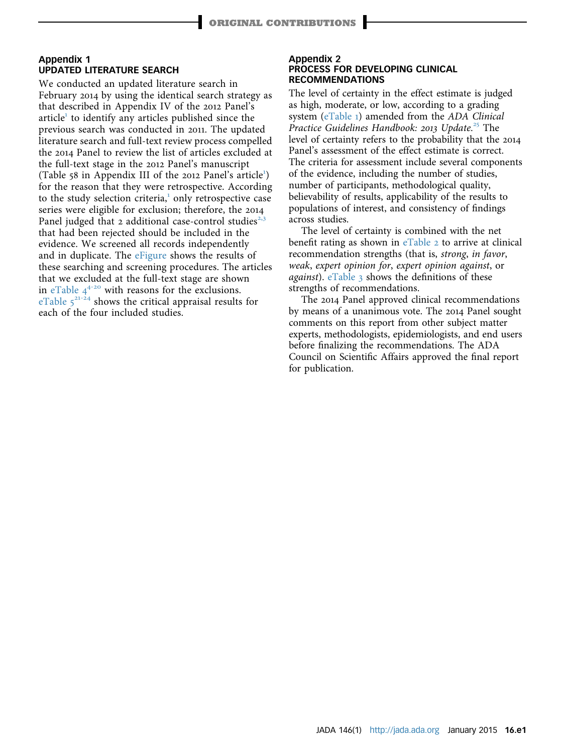## <span id="page-6-0"></span>Appendix 1 UPDATED LITERATURE SEARCH

We conducted an updated literature search in February 2014 by using the identical search strategy as that described in Appendix IV of the 2012 Panel's  $article<sup>1</sup>$  $article<sup>1</sup>$  $article<sup>1</sup>$  to identify any articles published since the previous search was conducted in 2011. The updated literature search and full-text review process compelled the 2014 Panel to review the list of articles excluded at the full-text stage in the 2012 Panel's manuscript (Table 58 in Appendix III of the 20[1](#page-13-0)2 Panel's article<sup>1</sup>) for the reason that they were retrospective. According to the study selection criteria, $<sup>1</sup>$  $<sup>1</sup>$  $<sup>1</sup>$  only retrospective case</sup> series were eligible for exclusion; therefore, the 2014 Panel judged that  $2$  additional case-control studies<sup>2,3</sup> that had been rejected should be included in the evidence. We screened all records independently and in duplicate. The eFigure shows the results of these searching and screening procedures. The articles that we excluded at the full-text stage are shown in eTable  $4^{4-20}$  $4^{4-20}$  $4^{4-20}$  with reasons for the exclusions. eTable  $5^{21-24}$  $5^{21-24}$  $5^{21-24}$  shows the critical appraisal results for each of the four included studies.

#### Appendix 2 PROCESS FOR DEVELOPING CLINICAL RECOMMENDATIONS

The level of certainty in the effect estimate is judged as high, moderate, or low, according to a grading system (eTable 1) amended from the ADA Clinical Practice Guidelines Handbook: 2013 Update.<sup>[25](#page-13-0)</sup> The level of certainty refers to the probability that the 2014 Panel's assessment of the effect estimate is correct. The criteria for assessment include several components of the evidence, including the number of studies, number of participants, methodological quality, believability of results, applicability of the results to populations of interest, and consistency of findings across studies.

The level of certainty is combined with the net benefit rating as shown in eTable 2 to arrive at clinical recommendation strengths (that is, strong, in favor, weak, expert opinion for, expert opinion against, or *against*).  $e$ Table 3 shows the definitions of these strengths of recommendations.

The 2014 Panel approved clinical recommendations by means of a unanimous vote. The 2014 Panel sought comments on this report from other subject matter experts, methodologists, epidemiologists, and end users before finalizing the recommendations. The ADA Council on Scientific Affairs approved the final report for publication.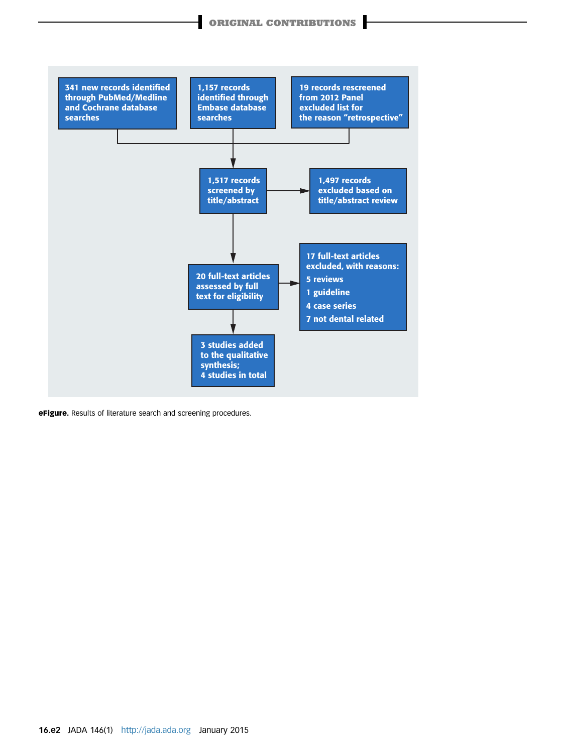

eFigure. Results of literature search and screening procedures.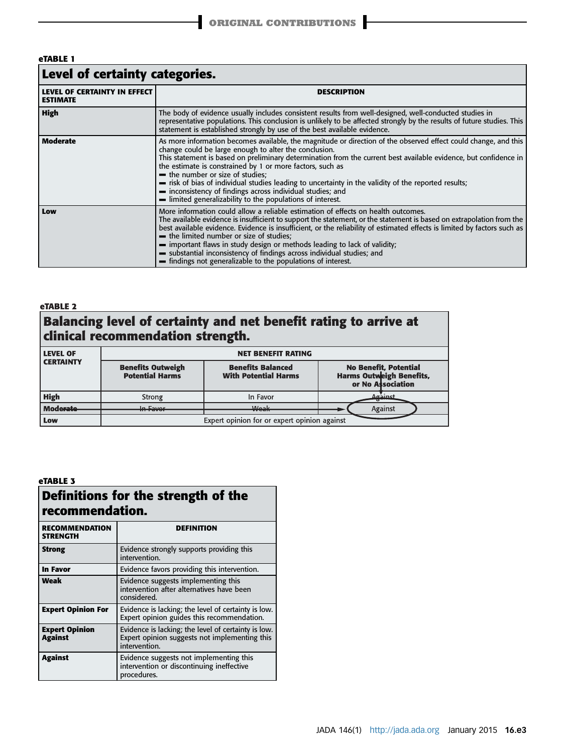| eTABLE 1                                               |                                                                                                                                                                                                                                                                                                                                                                                                                                                                                                                                                                                                                                 |  |  |
|--------------------------------------------------------|---------------------------------------------------------------------------------------------------------------------------------------------------------------------------------------------------------------------------------------------------------------------------------------------------------------------------------------------------------------------------------------------------------------------------------------------------------------------------------------------------------------------------------------------------------------------------------------------------------------------------------|--|--|
| Level of certainty categories.                         |                                                                                                                                                                                                                                                                                                                                                                                                                                                                                                                                                                                                                                 |  |  |
| <b>LEVEL OF CERTAINTY IN EFFECT</b><br><b>ESTIMATE</b> | <b>DESCRIPTION</b>                                                                                                                                                                                                                                                                                                                                                                                                                                                                                                                                                                                                              |  |  |
| <b>High</b>                                            | The body of evidence usually includes consistent results from well-designed, well-conducted studies in<br>representative populations. This conclusion is unlikely to be affected strongly by the results of future studies. This<br>statement is established strongly by use of the best available evidence.                                                                                                                                                                                                                                                                                                                    |  |  |
| <b>Moderate</b>                                        | As more information becomes available, the magnitude or direction of the observed effect could change, and this<br>change could be large enough to alter the conclusion.<br>This statement is based on preliminary determination from the current best available evidence, but confidence in<br>the estimate is constrained by 1 or more factors, such as<br>the number or size of studies:<br>- risk of bias of individual studies leading to uncertainty in the validity of the reported results;<br>- inconsistency of findings across individual studies; and<br>- limited generalizability to the populations of interest. |  |  |
| Low                                                    | More information could allow a reliable estimation of effects on health outcomes.<br>The available evidence is insufficient to support the statement, or the statement is based on extrapolation from the<br>best available evidence. Evidence is insufficient, or the reliability of estimated effects is limited by factors such as<br>the limited number or size of studies;<br>= important flaws in study design or methods leading to lack of validity;<br>substantial inconsistency of findings across individual studies; and<br>- findings not generalizable to the populations of interest.                            |  |  |

## eTABLE 2

# Balancing level of certainty and net benefit rating to arrive at<br>clinical recommendation strength.

| <b>LEVEL OF</b>  | <b>NET BENEFIT RATING</b>                          |                                                         |                                                                                      |  |
|------------------|----------------------------------------------------|---------------------------------------------------------|--------------------------------------------------------------------------------------|--|
| <b>CERTAINTY</b> | <b>Benefits Outweigh</b><br><b>Potential Harms</b> | <b>Benefits Balanced</b><br><b>With Potential Harms</b> | <b>No Benefit, Potential</b><br><b>Harms Outweigh Benefits,</b><br>or No Association |  |
| <b>High</b>      | Strong                                             | In Favor                                                | $\Delta$ gainei                                                                      |  |
| Moderate-        | In Favor<br>-----------                            | $M$ oak<br><b>WASHINGTON</b>                            | Against                                                                              |  |
| Low              |                                                    | Expert opinion for or expert opinion against            |                                                                                      |  |

## eTABLE 3

| Definitions for the strength of the |  |
|-------------------------------------|--|
| recommendation.                     |  |

| <b>RECOMMENDATION</b><br><b>STRENGTH</b> | <b>DEFINITION</b>                                                                                                     |
|------------------------------------------|-----------------------------------------------------------------------------------------------------------------------|
| <b>Strong</b>                            | Evidence strongly supports providing this<br>intervention.                                                            |
| <b>In Favor</b>                          | Evidence favors providing this intervention.                                                                          |
| Weak                                     | Evidence suggests implementing this<br>intervention after alternatives have been<br>considered.                       |
| <b>Expert Opinion For</b>                | Evidence is lacking; the level of certainty is low.<br>Expert opinion guides this recommendation.                     |
| <b>Expert Opinion</b><br><b>Against</b>  | Evidence is lacking; the level of certainty is low.<br>Expert opinion suggests not implementing this<br>intervention. |
| <b>Against</b>                           | Evidence suggests not implementing this<br>intervention or discontinuing ineffective<br>procedures.                   |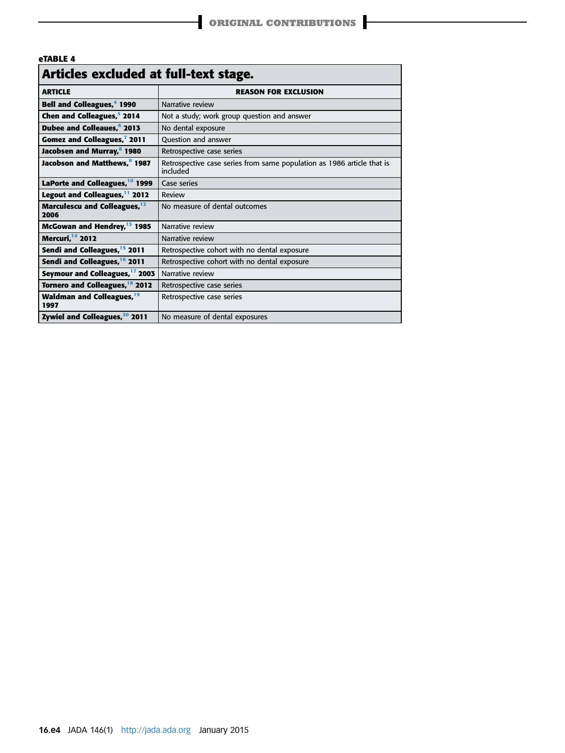| eTABLE 4                                         |                                                                                    |  |  |
|--------------------------------------------------|------------------------------------------------------------------------------------|--|--|
| Articles excluded at full-text stage.            |                                                                                    |  |  |
| <b>ARTICLE</b>                                   | <b>REASON FOR EXCLUSION</b>                                                        |  |  |
| Bell and Colleagues, <sup>4</sup> 1990           | Narrative review                                                                   |  |  |
| Chen and Colleagues, <sup>5</sup> 2014           | Not a study; work group question and answer                                        |  |  |
| Dubee and Colleaues. <sup>6</sup> 2013           | No dental exposure                                                                 |  |  |
| Gomez and Colleagues, <sup>7</sup> 2011          | <b>Ouestion and answer</b>                                                         |  |  |
| Jacobsen and Murray, <sup>8</sup> 1980           | Retrospective case series                                                          |  |  |
| Jacobson and Matthews, <sup>9</sup> 1987         | Retrospective case series from same population as 1986 article that is<br>included |  |  |
| LaPorte and Colleagues, <sup>10</sup> 1999       | Case series                                                                        |  |  |
| Legout and Colleagues, <sup>11</sup> 2012        | Review                                                                             |  |  |
| Marculescu and Colleagues, <sup>12</sup><br>2006 | No measure of dental outcomes                                                      |  |  |
| McGowan and Hendrey, <sup>13</sup> 1985          | Narrative review                                                                   |  |  |
| Mercuri. <sup>14</sup> 2012                      | Narrative review                                                                   |  |  |
| Sendi and Colleagues, <sup>15</sup> 2011         | Retrospective cohort with no dental exposure                                       |  |  |
| Sendi and Colleagues, <sup>16</sup> 2011         | Retrospective cohort with no dental exposure                                       |  |  |
| Seymour and Colleagues, <sup>17</sup> 2003       | Narrative review                                                                   |  |  |
| Tornero and Colleagues, <sup>18</sup> 2012       | Retrospective case series                                                          |  |  |
| <b>Waldman and Colleagues, 19</b><br>1997        | Retrospective case series                                                          |  |  |
| Zywiel and Colleagues, <sup>20</sup> 2011        | No measure of dental exposures                                                     |  |  |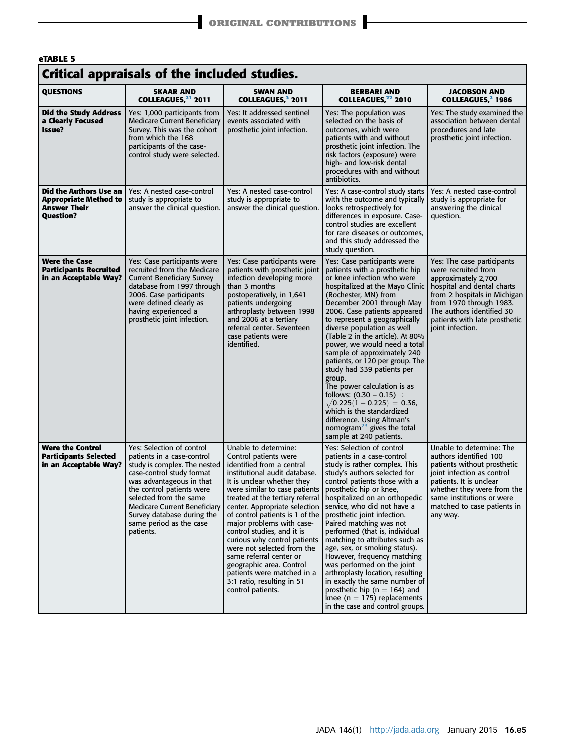# eTABLE 5

# Critical appraisals of the included studies.

| <b>QUESTIONS</b>                                                                           | <b>SKAAR AND</b><br>COLLEAGUES, <sup>21</sup> 2011                                                                                                                                                                                                                                                                   | SWAN AND<br>COLLEAGUES, <sup>3</sup> 2011                                                                                                                                                                                                                                                                                                                                                                                                                                                                                                           | <b>BERBARI AND</b><br>COLLEAGUES, <sup>22</sup> 2010                                                                                                                                                                                                                                                                                                                                                                                                                                                                                                                                                                                                                                            | <b>JACOBSON AND</b><br>COLLEAGUES, <sup>2</sup> 1986                                                                                                                                                                                                |
|--------------------------------------------------------------------------------------------|----------------------------------------------------------------------------------------------------------------------------------------------------------------------------------------------------------------------------------------------------------------------------------------------------------------------|-----------------------------------------------------------------------------------------------------------------------------------------------------------------------------------------------------------------------------------------------------------------------------------------------------------------------------------------------------------------------------------------------------------------------------------------------------------------------------------------------------------------------------------------------------|-------------------------------------------------------------------------------------------------------------------------------------------------------------------------------------------------------------------------------------------------------------------------------------------------------------------------------------------------------------------------------------------------------------------------------------------------------------------------------------------------------------------------------------------------------------------------------------------------------------------------------------------------------------------------------------------------|-----------------------------------------------------------------------------------------------------------------------------------------------------------------------------------------------------------------------------------------------------|
| <b>Did the Study Address</b><br>a Clearly Focused<br>Issue?                                | Yes: 1,000 participants from<br><b>Medicare Current Beneficiary</b><br>Survey. This was the cohort<br>from which the 168<br>participants of the case-<br>control study were selected.                                                                                                                                | Yes: It addressed sentinel<br>events associated with<br>prosthetic joint infection.                                                                                                                                                                                                                                                                                                                                                                                                                                                                 | Yes: The population was<br>selected on the basis of<br>outcomes, which were<br>patients with and without<br>prosthetic joint infection. The<br>risk factors (exposure) were<br>high- and low-risk dental<br>procedures with and without<br>antibiotics.                                                                                                                                                                                                                                                                                                                                                                                                                                         | Yes: The study examined the<br>association between dental<br>procedures and late<br>prosthetic joint infection.                                                                                                                                     |
| Did the Authors Use an<br><b>Appropriate Method to</b><br>Answer Their<br><b>Question?</b> | Yes: A nested case-control<br>study is appropriate to<br>answer the clinical question.                                                                                                                                                                                                                               | Yes: A nested case-control<br>study is appropriate to<br>answer the clinical question.                                                                                                                                                                                                                                                                                                                                                                                                                                                              | Yes: A case-control study starts<br>with the outcome and typically<br>looks retrospectively for<br>differences in exposure. Case-<br>control studies are excellent<br>for rare diseases or outcomes,<br>and this study addressed the<br>study question.                                                                                                                                                                                                                                                                                                                                                                                                                                         | Yes: A nested case-control<br>study is appropriate for<br>answering the clinical<br>question.                                                                                                                                                       |
| <b>Were the Case</b><br><b>Participants Recruited</b><br>in an Acceptable Way?             | Yes: Case participants were<br>recruited from the Medicare<br><b>Current Beneficiary Survey</b><br>database from 1997 through<br>2006. Case participants<br>were defined clearly as<br>having experienced a<br>prosthetic joint infection.                                                                           | Yes: Case participants were<br>patients with prosthetic joint<br>infection developing more<br>than 3 months<br>postoperatively, in 1,641<br>patients undergoing<br>arthroplasty between 1998<br>and 2006 at a tertiary<br>referral center. Seventeen<br>case patients were<br>identified.                                                                                                                                                                                                                                                           | Yes: Case participants were<br>patients with a prosthetic hip<br>or knee infection who were<br>hospitalized at the Mayo Clinic<br>(Rochester, MN) from<br>December 2001 through May<br>2006. Case patients appeared<br>to represent a geographically<br>diverse population as well<br>(Table 2 in the article). At 80%<br>power, we would need a total<br>sample of approximately 240<br>patients, or 120 per group. The<br>study had 339 patients per<br>group.<br>The power calculation is as<br>follows: $(0.30 - 0.15)$ ÷<br>$\sqrt{0.225(1-0.225)} = 0.36$<br>which is the standardized<br>difference. Using Altman's<br>nomogram <sup>23</sup> gives the total<br>sample at 240 patients. | Yes: The case participants<br>were recruited from<br>approximately 2,700<br>hospital and dental charts<br>from 2 hospitals in Michigan<br>from 1970 through 1983.<br>The authors identified 30<br>patients with late prosthetic<br>joint infection. |
| <b>Were the Control</b><br><b>Participants Selected</b><br>in an Acceptable Way?           | Yes: Selection of control<br>patients in a case-control<br>study is complex. The nested<br>case-control study format<br>was advantageous in that<br>the control patients were<br>selected from the same<br><b>Medicare Current Beneficiary</b><br>Survey database during the<br>same period as the case<br>patients. | Unable to determine:<br>Control patients were<br>identified from a central<br>institutional audit database.<br>It is unclear whether they<br>were similar to case patients<br>treated at the tertiary referral<br>center. Appropriate selection<br>of control patients is 1 of the<br>major problems with case-<br>control studies, and it is<br>curious why control patients<br>were not selected from the<br>same referral center or<br>geographic area. Control<br>patients were matched in a<br>3:1 ratio, resulting in 51<br>control patients. | Yes: Selection of control<br>patients in a case-control<br>study is rather complex. This<br>study's authors selected for<br>control patients those with a<br>prosthetic hip or knee,<br>hospitalized on an orthopedic<br>service, who did not have a<br>prosthetic joint infection.<br>Paired matching was not<br>performed (that is, individual<br>matching to attributes such as<br>age, sex, or smoking status).<br>However, frequency matching<br>was performed on the joint<br>arthroplasty location, resulting<br>in exactly the same number of<br>prosthetic hip ( $n = 164$ ) and<br>knee ( $n = 175$ ) replacements<br>in the case and control groups.                                 | Unable to determine: The<br>authors identified 100<br>patients without prosthetic<br>joint infection as control<br>patients. It is unclear<br>whether they were from the<br>same institutions or were<br>matched to case patients in<br>any way.    |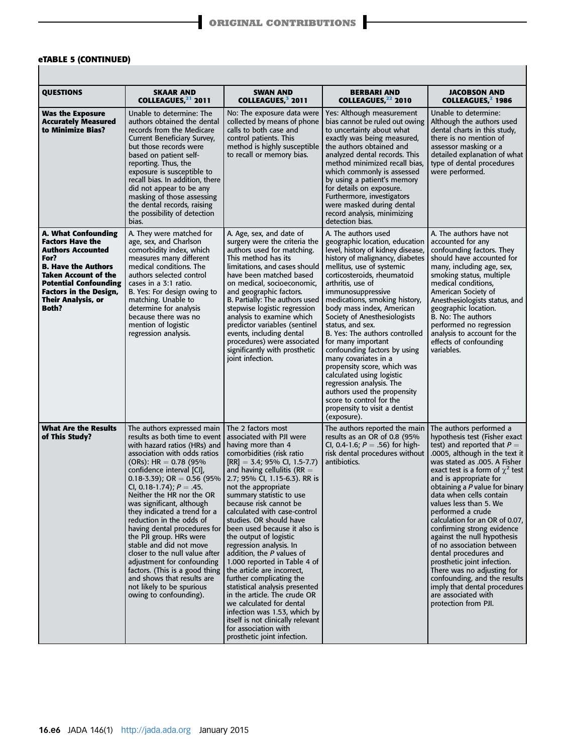# eTABLE 5 (CONTINUED)

| <b>QUESTIONS</b>                                                                                                                                                                                                                                              | <b>SKAAR AND</b><br>COLLEAGUES, <sup>21</sup> 2011                                                                                                                                                                                                                                                                                                                                                                                                                                                                                                                                                                                                        | <b>SWAN AND</b><br>COLLEAGUES, <sup>3</sup> 2011                                                                                                                                                                                                                                                                                                                                                                                                                                                                                                                                                                                                                                                                                                                                      | <b>BERBARI AND</b><br>COLLEAGUES, <sup>22</sup> 2010                                                                                                                                                                                                                                                                                                                                                                                                                                                                                                                                                                                                                     | <b>JACOBSON AND</b><br>COLLEAGUES, <sup>2</sup> 1986                                                                                                                                                                                                                                                                                                                                                                                                                                                                                                                                                                                                                        |
|---------------------------------------------------------------------------------------------------------------------------------------------------------------------------------------------------------------------------------------------------------------|-----------------------------------------------------------------------------------------------------------------------------------------------------------------------------------------------------------------------------------------------------------------------------------------------------------------------------------------------------------------------------------------------------------------------------------------------------------------------------------------------------------------------------------------------------------------------------------------------------------------------------------------------------------|---------------------------------------------------------------------------------------------------------------------------------------------------------------------------------------------------------------------------------------------------------------------------------------------------------------------------------------------------------------------------------------------------------------------------------------------------------------------------------------------------------------------------------------------------------------------------------------------------------------------------------------------------------------------------------------------------------------------------------------------------------------------------------------|--------------------------------------------------------------------------------------------------------------------------------------------------------------------------------------------------------------------------------------------------------------------------------------------------------------------------------------------------------------------------------------------------------------------------------------------------------------------------------------------------------------------------------------------------------------------------------------------------------------------------------------------------------------------------|-----------------------------------------------------------------------------------------------------------------------------------------------------------------------------------------------------------------------------------------------------------------------------------------------------------------------------------------------------------------------------------------------------------------------------------------------------------------------------------------------------------------------------------------------------------------------------------------------------------------------------------------------------------------------------|
| <b>Was the Exposure</b><br><b>Accurately Measured</b><br>to Minimize Bias?                                                                                                                                                                                    | Unable to determine: The<br>authors obtained the dental<br>records from the Medicare<br><b>Current Beneficiary Survey,</b><br>but those records were<br>based on patient self-<br>reporting. Thus, the<br>exposure is susceptible to<br>recall bias. In addition, there<br>did not appear to be any<br>masking of those assessing<br>the dental records, raising<br>the possibility of detection<br>bias.                                                                                                                                                                                                                                                 | No: The exposure data were<br>collected by means of phone<br>calls to both case and<br>control patients. This<br>method is highly susceptible<br>to recall or memory bias.                                                                                                                                                                                                                                                                                                                                                                                                                                                                                                                                                                                                            | Yes: Although measurement<br>bias cannot be ruled out owing<br>to uncertainty about what<br>exactly was being measured,<br>the authors obtained and<br>analyzed dental records. This<br>method minimized recall bias,<br>which commonly is assessed<br>by using a patient's memory<br>for details on exposure.<br>Furthermore, investigators<br>were masked during dental<br>record analysis, minimizing<br>detection bias.                                                                                                                                                                                                                                              | Unable to determine:<br>Although the authors used<br>dental charts in this study,<br>there is no mention of<br>assessor masking or a<br>detailed explanation of what<br>type of dental procedures<br>were performed.                                                                                                                                                                                                                                                                                                                                                                                                                                                        |
| A. What Confounding<br><b>Factors Have the</b><br><b>Authors Accounted</b><br>For?<br><b>B. Have the Authors</b><br><b>Taken Account of the</b><br><b>Potential Confounding</b><br><b>Factors in the Design,</b><br><b>Their Analysis, or</b><br><b>Both?</b> | A. They were matched for<br>age, sex, and Charlson<br>comorbidity index, which<br>measures many different<br>medical conditions. The<br>authors selected control<br>cases in a 3:1 ratio.<br>B. Yes: For design owing to<br>matching. Unable to<br>determine for analysis<br>because there was no<br>mention of logistic<br>regression analysis.                                                                                                                                                                                                                                                                                                          | A. Age, sex, and date of<br>surgery were the criteria the<br>authors used for matching.<br>This method has its<br>limitations, and cases should<br>have been matched based<br>on medical, socioeconomic,<br>and geographic factors.<br>B. Partially: The authors used<br>stepwise logistic regression<br>analysis to examine which<br>predictor variables (sentinel<br>events, including dental<br>procedures) were associated<br>significantly with prosthetic<br>joint infection.                                                                                                                                                                                                                                                                                                   | A. The authors used<br>geographic location, education<br>level, history of kidney disease,<br>history of malignancy, diabetes<br>mellitus, use of systemic<br>corticosteroids, rheumatoid<br>arthritis, use of<br>immunosuppressive<br>medications, smoking history,<br>body mass index, American<br>Society of Anesthesiologists<br>status, and sex.<br>B. Yes: The authors controlled<br>for many important<br>confounding factors by using<br>many covariates in a<br>propensity score, which was<br>calculated using logistic<br>regression analysis. The<br>authors used the propensity<br>score to control for the<br>propensity to visit a dentist<br>(exposure). | A. The authors have not<br>accounted for any<br>confounding factors. They<br>should have accounted for<br>many, including age, sex,<br>smoking status, multiple<br>medical conditions,<br>American Society of<br>Anesthesiologists status, and<br>geographic location.<br>B. No: The authors<br>performed no regression<br>analysis to account for the<br>effects of confounding<br>variables.                                                                                                                                                                                                                                                                              |
| <b>What Are the Results</b><br>of This Study?                                                                                                                                                                                                                 | The authors expressed main<br>results as both time to event<br>with hazard ratios (HRs) and<br>association with odds ratios<br>(ORs): HR = $0.78$ (95%)<br>confidence interval [CI],<br>$0.18 - 3.39$ ; OR = 0.56 (95%)<br>CI, 0.18-1.74); $P = .45$ .<br>Neither the HR nor the OR<br>was significant, although<br>they indicated a trend for a<br>reduction in the odds of<br>having dental procedures for<br>the PJI group. HRs were<br>stable and did not move<br>closer to the null value after<br>adjustment for confounding<br>factors. (This is a good thing<br>and shows that results are<br>not likely to be spurious<br>owing to confounding). | The 2 factors most<br>associated with PJI were<br>having more than 4<br>comorbidities (risk ratio<br>$[RR] = 3.4; 95\%$ Cl, 1.5-7.7)<br>and having cellulitis ( $RR =$<br>2.7; 95% CI, 1.15-6.3). RR is<br>not the appropriate<br>summary statistic to use<br>because risk cannot be<br>calculated with case-control<br>studies. OR should have<br>been used because it also is<br>the output of logistic<br>regression analysis. In<br>addition, the P values of<br>1.000 reported in Table 4 of<br>the article are incorrect,<br>further complicating the<br>statistical analysis presented<br>in the article. The crude OR<br>we calculated for dental<br>infection was 1.53, which by<br>itself is not clinically relevant<br>for association with<br>prosthetic joint infection. | The authors reported the main<br>results as an OR of 0.8 (95%<br>CI, 0.4-1.6; $P = .56$ ) for high-<br>risk dental procedures without<br>antibiotics.                                                                                                                                                                                                                                                                                                                                                                                                                                                                                                                    | The authors performed a<br>hypothesis test (Fisher exact<br>test) and reported that $P =$<br>.0005, although in the text it<br>was stated as .005. A Fisher<br>exact test is a form of $\chi^2$ test<br>and is appropriate for<br>obtaining a P value for binary<br>data when cells contain<br>values less than 5. We<br>performed a crude<br>calculation for an OR of 0.07,<br>confirming strong evidence<br>against the null hypothesis<br>of no association between<br>dental procedures and<br>prosthetic joint infection.<br>There was no adjusting for<br>confounding, and the results<br>imply that dental procedures<br>are associated with<br>protection from PJI. |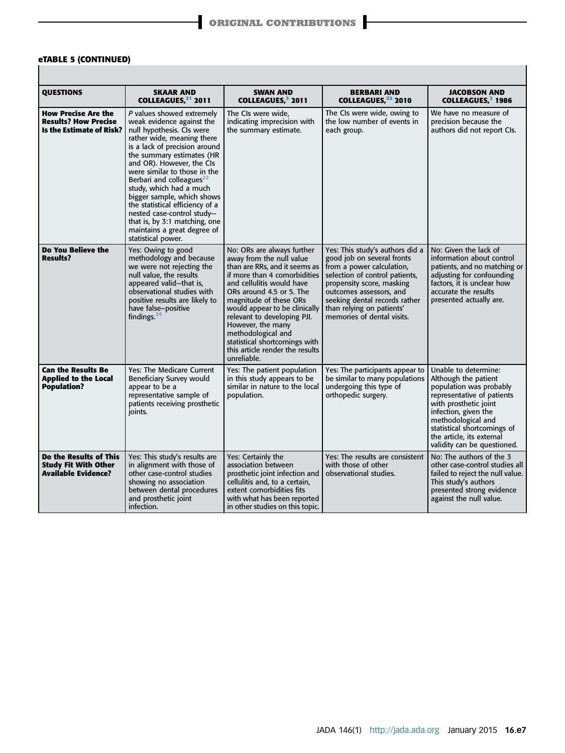# eTABLE 5 (CONTINUED)

| <b>QUESTIONS</b>                                                                      | <b>SKAAR AND</b><br>COLLEAGUES, <sup>21</sup> 2011                                                                                                                                                                                                                                                                                                                                                                                                                                                   | <b>SWAN AND</b><br>COLLEAGUES. <sup>3</sup> 2011                                                                                                                                                                                                                                                                                                                                                         | <b>BERBARI AND</b><br>COLLEAGUES. <sup>22</sup> 2010                                                                                                                                                                                                                             | <b>JACOBSON AND</b><br>COLLEAGUES. <sup>2</sup> 1986                                                                                                                                                                                                                    |
|---------------------------------------------------------------------------------------|------------------------------------------------------------------------------------------------------------------------------------------------------------------------------------------------------------------------------------------------------------------------------------------------------------------------------------------------------------------------------------------------------------------------------------------------------------------------------------------------------|----------------------------------------------------------------------------------------------------------------------------------------------------------------------------------------------------------------------------------------------------------------------------------------------------------------------------------------------------------------------------------------------------------|----------------------------------------------------------------------------------------------------------------------------------------------------------------------------------------------------------------------------------------------------------------------------------|-------------------------------------------------------------------------------------------------------------------------------------------------------------------------------------------------------------------------------------------------------------------------|
| <b>How Precise Are the</b><br><b>Results? How Precise</b><br>Is the Estimate of Risk? | P values showed extremely<br>weak evidence against the<br>null hypothesis. CIs were<br>rather wide, meaning there<br>is a lack of precision around<br>the summary estimates (HR<br>and OR). However, the CIs<br>were similar to those in the<br>Berbari and colleagues <sup>22</sup><br>study, which had a much<br>bigger sample, which shows<br>the statistical efficiency of a<br>nested case-control study-<br>that is, by 3:1 matching, one<br>maintains a great degree of<br>statistical power. | The CIs were wide,<br>indicating imprecision with<br>the summary estimate.                                                                                                                                                                                                                                                                                                                               | The CIs were wide, owing to<br>the low number of events in<br>each group.                                                                                                                                                                                                        | We have no measure of<br>precision because the<br>authors did not report CIs.                                                                                                                                                                                           |
| Do You Believe the<br><b>Results?</b>                                                 | Yes: Owing to good<br>methodology and because<br>we were not rejecting the<br>null value, the results<br>appeared valid-that is,<br>observational studies with<br>positive results are likely to<br>have false–positive<br>findings. $24$                                                                                                                                                                                                                                                            | No: ORs are always further<br>away from the null value<br>than are RRs, and it seems as<br>if more than 4 comorbidities<br>and cellulitis would have<br>ORs around 4.5 or 5. The<br>magnitude of these ORs<br>would appear to be clinically<br>relevant to developing PJI.<br>However, the many<br>methodological and<br>statistical shortcomings with<br>this article render the results<br>unreliable. | Yes: This study's authors did a<br>good job on several fronts<br>from a power calculation,<br>selection of control patients,<br>propensity score, masking<br>outcomes assessors, and<br>seeking dental records rather<br>than relying on patients'<br>memories of dental visits. | No: Given the lack of<br>information about control<br>patients, and no matching or<br>adjusting for confounding<br>factors, it is unclear how<br>accurate the results<br>presented actually are.                                                                        |
| <b>Can the Results Be</b><br><b>Applied to the Local</b><br><b>Population?</b>        | Yes: The Medicare Current<br>Beneficiary Survey would<br>appear to be a<br>representative sample of<br>patients receiving prosthetic<br>joints.                                                                                                                                                                                                                                                                                                                                                      | Yes: The patient population<br>in this study appears to be<br>similar in nature to the local<br>population.                                                                                                                                                                                                                                                                                              | Yes: The participants appear to<br>be similar to many populations<br>undergoing this type of<br>orthopedic surgery.                                                                                                                                                              | Unable to determine:<br>Although the patient<br>population was probably<br>representative of patients<br>with prosthetic joint<br>infection, given the<br>methodological and<br>statistical shortcomings of<br>the article, its external<br>validity can be questioned. |
| Do the Results of This<br><b>Study Fit With Other</b><br>Available Evidence?          | Yes: This study's results are<br>in alignment with those of<br>other case-control studies<br>showing no association<br>between dental procedures<br>and prosthetic joint<br>infection.                                                                                                                                                                                                                                                                                                               | Yes: Certainly the<br>association between<br>prosthetic joint infection and<br>cellulitis and, to a certain,<br>extent comorbidities fits<br>with what has been reported<br>in other studies on this topic.                                                                                                                                                                                              | Yes: The results are consistent<br>with those of other<br>observational studies.                                                                                                                                                                                                 | No: The authors of the 3<br>other case-control studies all<br>failed to reject the null value.<br>This study's authors<br>presented strong evidence<br>against the null value.                                                                                          |